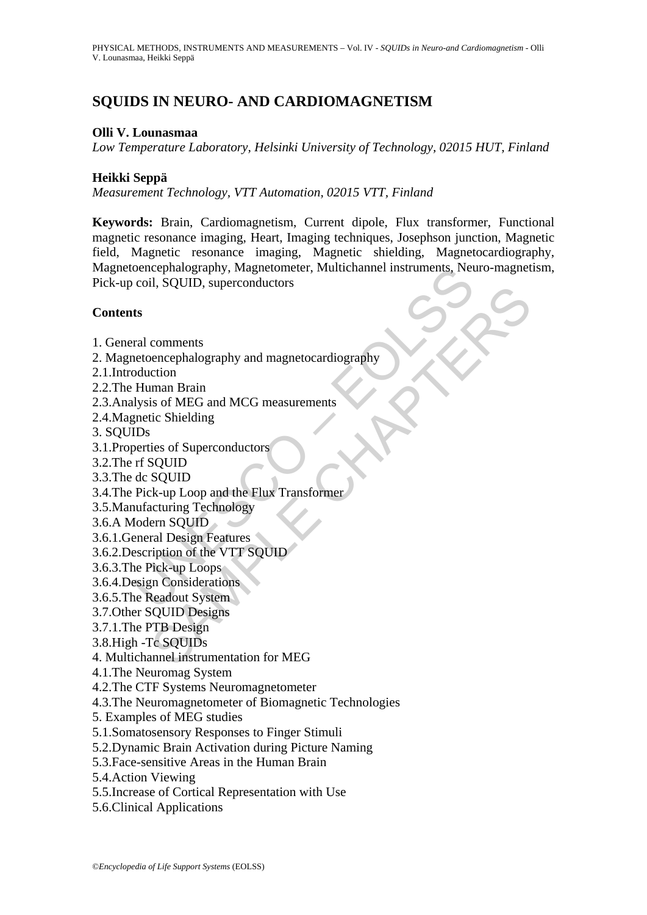# **SQUIDS IN NEURO- AND CARDIOMAGNETISM**

### **Olli V. Lounasmaa**

*Low Temperature Laboratory, Helsinki University of Technology, 02015 HUT, Finland* 

### **Heikki Seppä**

*Measurement Technology, VTT Automation, 02015 VTT, Finland* 

oencephalography, Magnetometer, Multichannel instruments, Net<br>
coil, SQUID, superconductors<br>
ts<br>
ral comments<br>
ral comments<br>
etoencephalography and magnetocardiography<br>
Human Brain<br>
llysis of MEG and MCG measurements<br>
metr **Keywords:** Brain, Cardiomagnetism, Current dipole, Flux transformer, Functional magnetic resonance imaging, Heart, Imaging techniques, Josephson junction, Magnetic field, Magnetic resonance imaging, Magnetic shielding, Magnetocardiography, Magnetoencephalography, Magnetometer, Multichannel instruments, Neuro-magnetism, Pick-up coil, SQUID, superconductors

#### **Contents**

- 1. General comments
- comments<br>
comments<br>
enceephalography and magnetocardiography<br>
is of MEG and MCG measurements<br>
is of MEG and MCG measurements<br>
is of Superconductors<br>
SQUID<br>
SQUID<br>
SQUID<br>
SQUID<br>
call Design Features<br>
ern SQUID<br>
ral Design F 2. Magnetoencephalography and magnetocardiography
- 2.1.Introduction
- 2.2.The Human Brain
- 2.3.Analysis of MEG and MCG measurements
- 2.4.Magnetic Shielding
- 3. SQUIDs
- 3.1.Properties of Superconductors
- 3.2.The rf SQUID
- 3.3.The dc SQUID
- 3.4.The Pick-up Loop and the Flux Transformer
- 3.5.Manufacturing Technology
- 3.6.A Modern SQUID
- 3.6.1.General Design Features
- 3.6.2.Description of the VTT SQUID
- 3.6.3.The Pick-up Loops
- 3.6.4.Design Considerations
- 3.6.5.The Readout System
- 3.7.Other SQUID Designs
- 3.7.1.The PTB Design
- 3.8.High -Tc SQUIDs
- 4. Multichannel instrumentation for MEG
- 4.1.The Neuromag System
- 4.2.The CTF Systems Neuromagnetometer
- 4.3.The Neuromagnetometer of Biomagnetic Technologies
- 5. Examples of MEG studies
- 5.1.Somatosensory Responses to Finger Stimuli
- 5.2.Dynamic Brain Activation during Picture Naming
- 5.3.Face-sensitive Areas in the Human Brain
- 5.4.Action Viewing
- 5.5.Increase of Cortical Representation with Use
- 5.6.Clinical Applications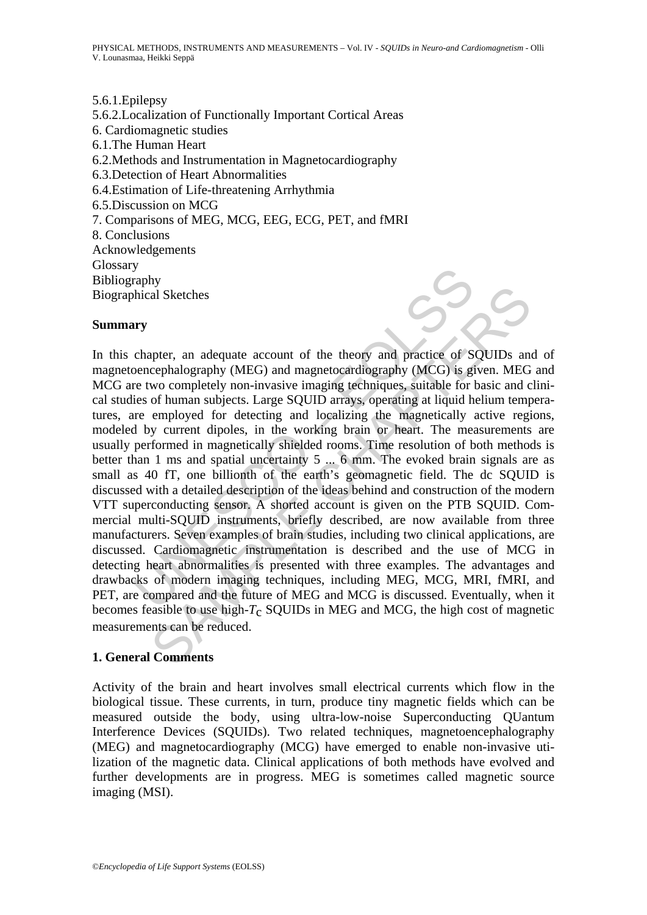#### 5.6.1.Epilepsy

5.6.2.Localization of Functionally Important Cortical Areas 6. Cardiomagnetic studies 6.1.The Human Heart 6.2.Methods and Instrumentation in Magnetocardiography 6.3.Detection of Heart Abnormalities 6.4.Estimation of Life-threatening Arrhythmia 6.5.Discussion on MCG 7. Comparisons of MEG, MCG, EEG, ECG, PET, and fMRI 8. Conclusions Acknowledgements Glossary Bibliography Biographical Sketches

#### **Summary**

y<br>
enaphy<br>
enaphy<br>
enaphy<br>
enaphy<br>
enaphy<br>
chical Sketches<br>
encephalography (MEG) and magnetocardiography (MCG) is given<br>
the two completely non-invasive imaging techniques, suitable for<br>
lies of human subjects. Large SQUI The Sampletian and Sketches<br>all Sketches<br>and Sketches<br>the and equate account of the theory and practice of SQUIDs ane<br>cephalography (MEG) and magnetocardiography (MCG) is given. MEG<br>of burnan subjects. Large SQUID arrays, In this chapter, an adequate account of the theory and practice of SQUIDs and of magnetoencephalography (MEG) and magnetocardiography (MCG) is given. MEG and MCG are two completely non-invasive imaging techniques, suitable for basic and clinical studies of human subjects. Large SQUID arrays, operating at liquid helium temperatures, are employed for detecting and localizing the magnetically active regions, modeled by current dipoles, in the working brain or heart. The measurements are usually performed in magnetically shielded rooms. Time resolution of both methods is better than 1 ms and spatial uncertainty 5 ... 6 mm. The evoked brain signals are as small as 40 fT, one billionth of the earth's geomagnetic field. The dc SQUID is discussed with a detailed description of the ideas behind and construction of the modern VTT superconducting sensor. A shorted account is given on the PTB SQUID. Commercial multi-SQUID instruments, briefly described, are now available from three manufacturers. Seven examples of brain studies, including two clinical applications, are discussed. Cardiomagnetic instrumentation is described and the use of MCG in detecting heart abnormalities is presented with three examples. The advantages and drawbacks of modern imaging techniques, including MEG, MCG, MRI, fMRI, and PET, are compared and the future of MEG and MCG is discussed. Eventually, when it becomes feasible to use high-*T*c SQUIDs in MEG and MCG, the high cost of magnetic measurements can be reduced.

#### **1. General Comments**

Activity of the brain and heart involves small electrical currents which flow in the biological tissue. These currents, in turn, produce tiny magnetic fields which can be measured outside the body, using ultra-low-noise Superconducting QUantum Interference Devices (SQUIDs). Two related techniques, magnetoencephalography (MEG) and magnetocardiography (MCG) have emerged to enable non-invasive utilization of the magnetic data. Clinical applications of both methods have evolved and further developments are in progress. MEG is sometimes called magnetic source imaging (MSI).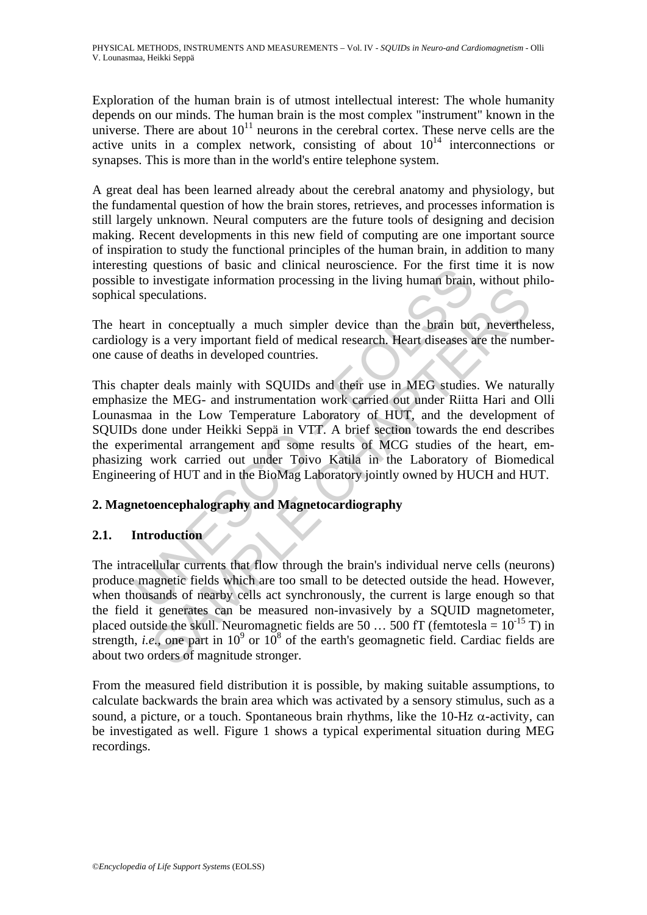Exploration of the human brain is of utmost intellectual interest: The whole humanity depends on our minds. The human brain is the most complex "instrument" known in the universe. There are about  $10^{11}$  neurons in the cerebral cortex. These nerve cells are the active units in a complex network, consisting of about  $10^{14}$  interconnections or synapses. This is more than in the world's entire telephone system.

A great deal has been learned already about the cerebral anatomy and physiology, but the fundamental question of how the brain stores, retrieves, and processes information is still largely unknown. Neural computers are the future tools of designing and decision making. Recent developments in this new field of computing are one important source of inspiration to study the functional principles of the human brain, in addition to many interesting questions of basic and clinical neuroscience. For the first time it is now possible to investigate information processing in the living human brain, without philosophical speculations.

The heart in conceptually a much simpler device than the brain but, nevertheless, cardiology is a very important field of medical research. Heart diseases are the numberone cause of deaths in developed countries.

Internation of basic and clinical neuroscience. For the first<br>to investigate information processing in the living human brain,<br>speculations.<br>and speculations.<br>and the brain budgy is a very important field of medical resear This chapter deals mainly with SQUIDs and their use in MEG studies. We naturally emphasize the MEG- and instrumentation work carried out under Riitta Hari and Olli Lounasmaa in the Low Temperature Laboratory of HUT, and the development of SQUIDs done under Heikki Seppä in VTT. A brief section towards the end describes the experimental arrangement and some results of MCG studies of the heart, emphasizing work carried out under Toivo Katila in the Laboratory of Biomedical Engineering of HUT and in the BioMag Laboratory jointly owned by HUCH and HUT.

## **2. Magnetoencephalography and Magnetocardiography**

### **2.1. Introduction**

eculations.<br>
in conceptually a much simpler device than the brain but, neverthe<br>
is a very important field of medical research. Heart diseases are the num<br>
of deaths in developed countries.<br>
For deaths in developed countr The intracellular currents that flow through the brain's individual nerve cells (neurons) produce magnetic fields which are too small to be detected outside the head. However, when thousands of nearby cells act synchronously, the current is large enough so that the field it generates can be measured non-invasively by a SQUID magnetometer, placed outside the skull. Neuromagnetic fields are 50 ... 500 fT (femtotesla =  $10^{-15}$  T) in strength, *i.e.*, one part in  $10^9$  or  $10^8$  of the earth's geomagnetic field. Cardiac fields are about two orders of magnitude stronger.

From the measured field distribution it is possible, by making suitable assumptions, to calculate backwards the brain area which was activated by a sensory stimulus, such as a sound, a picture, or a touch. Spontaneous brain rhythms, like the 10-Hz  $\alpha$ -activity, can be investigated as well. Figure 1 shows a typical experimental situation during MEG recordings.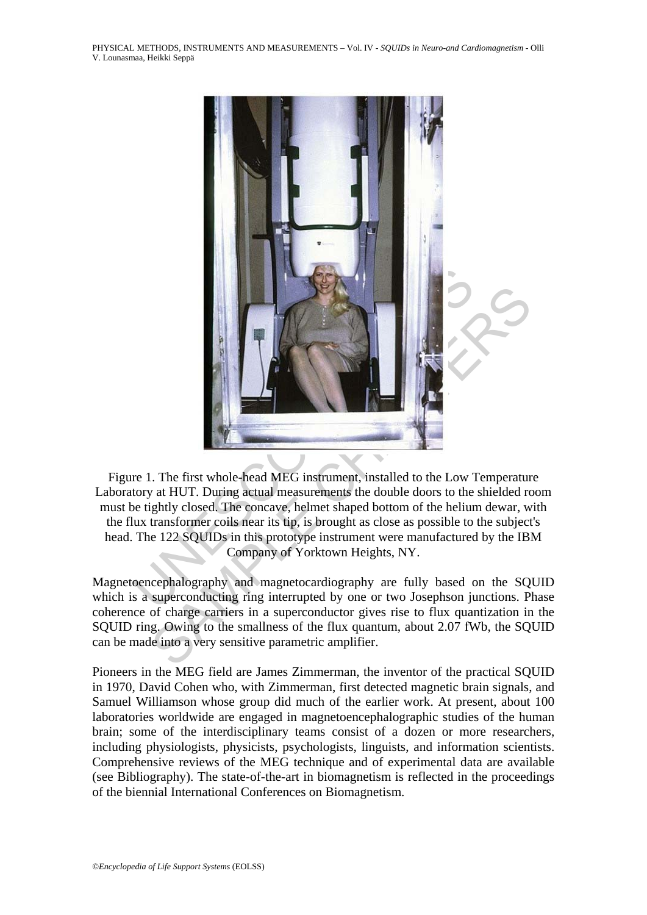PHYSICAL METHODS, INSTRUMENTS AND MEASUREMENTS – Vol. IV - *SQUIDs in Neuro-and Cardiomagnetism* - Olli V. Lounasmaa, Heikki Seppä



Figure 1. The first whole-head MEG instrument, installed to the Low Temperature Laboratory at HUT. During actual measurements the double doors to the shielded room must be tightly closed. The concave, helmet shaped bottom of the helium dewar, with the flux transformer coils near its tip, is brought as close as possible to the subject's head. The 122 SQUIDs in this prototype instrument were manufactured by the IBM Company of Yorktown Heights, NY.

Magnetoencephalography and magnetocardiography are fully based on the SQUID which is a superconducting ring interrupted by one or two Josephson junctions. Phase coherence of charge carriers in a superconductor gives rise to flux quantization in the SQUID ring. Owing to the smallness of the flux quantum, about 2.07 fWb, the SQUID can be made into a very sensitive parametric amplifier.

Pioneers in the MEG field are James Zimmerman, the inventor of the practical SQUID in 1970, David Cohen who, with Zimmerman, first detected magnetic brain signals, and Samuel Williamson whose group did much of the earlier work. At present, about 100 laboratories worldwide are engaged in magnetoencephalographic studies of the human brain; some of the interdisciplinary teams consist of a dozen or more researchers, including physiologists, physicists, psychologists, linguists, and information scientists. Comprehensive reviews of the MEG technique and of experimental data are available (see Bibliography). The state-of-the-art in biomagnetism is reflected in the proceedings of the biennial International Conferences on Biomagnetism.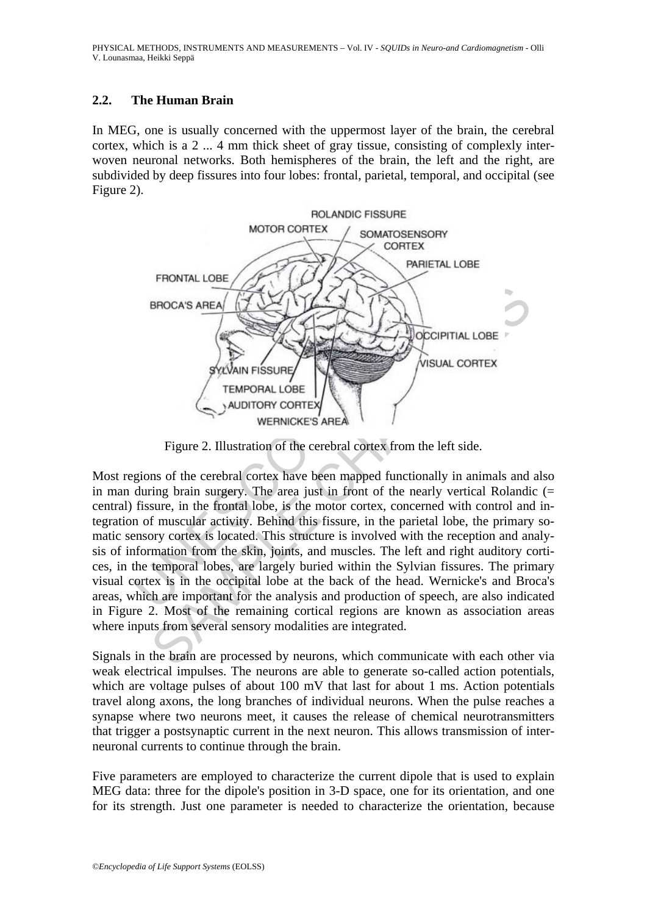PHYSICAL METHODS, INSTRUMENTS AND MEASUREMENTS – Vol. IV - *SQUIDs in Neuro-and Cardiomagnetism* - Olli V. Lounasmaa, Heikki Seppä

#### **2.2. The Human Brain**

In MEG, one is usually concerned with the uppermost layer of the brain, the cerebral cortex, which is a 2 ... 4 mm thick sheet of gray tissue, consisting of complexly interwoven neuronal networks. Both hemispheres of the brain, the left and the right, are subdivided by deep fissures into four lobes: frontal, parietal, temporal, and occipital (see Figure 2).



Figure 2. Illustration of the cerebral cortex from the left side.

BROCAS AREA THE SURE TEMPORAL LOBE<br>
SAUDITORIAL LOBE<br>
SAUDITORIAL LOBE<br>
TEMPORAL LOBE<br>
TEMPORAL LOBE<br>
TEMPORAL LOBE<br>
CHAPTER CHAPTERS AREA<br>
TEQUE 2. Illustration of the cerebral cortex from the left side.<br>
Tigure 2. Illust Most regions of the cerebral cortex have been mapped functionally in animals and also in man during brain surgery. The area just in front of the nearly vertical Rolandic (= central) fissure, in the frontal lobe, is the motor cortex, concerned with control and integration of muscular activity. Behind this fissure, in the parietal lobe, the primary somatic sensory cortex is located. This structure is involved with the reception and analysis of information from the skin, joints, and muscles. The left and right auditory cortices, in the temporal lobes, are largely buried within the Sylvian fissures. The primary visual cortex is in the occipital lobe at the back of the head. Wernicke's and Broca's areas, which are important for the analysis and production of speech, are also indicated in Figure 2. Most of the remaining cortical regions are known as association areas where inputs from several sensory modalities are integrated.

Signals in the brain are processed by neurons, which communicate with each other via weak electrical impulses. The neurons are able to generate so-called action potentials, which are voltage pulses of about 100 mV that last for about 1 ms. Action potentials travel along axons, the long branches of individual neurons. When the pulse reaches a synapse where two neurons meet, it causes the release of chemical neurotransmitters that trigger a postsynaptic current in the next neuron. This allows transmission of interneuronal currents to continue through the brain.

Five parameters are employed to characterize the current dipole that is used to explain MEG data: three for the dipole's position in 3-D space, one for its orientation, and one for its strength. Just one parameter is needed to characterize the orientation, because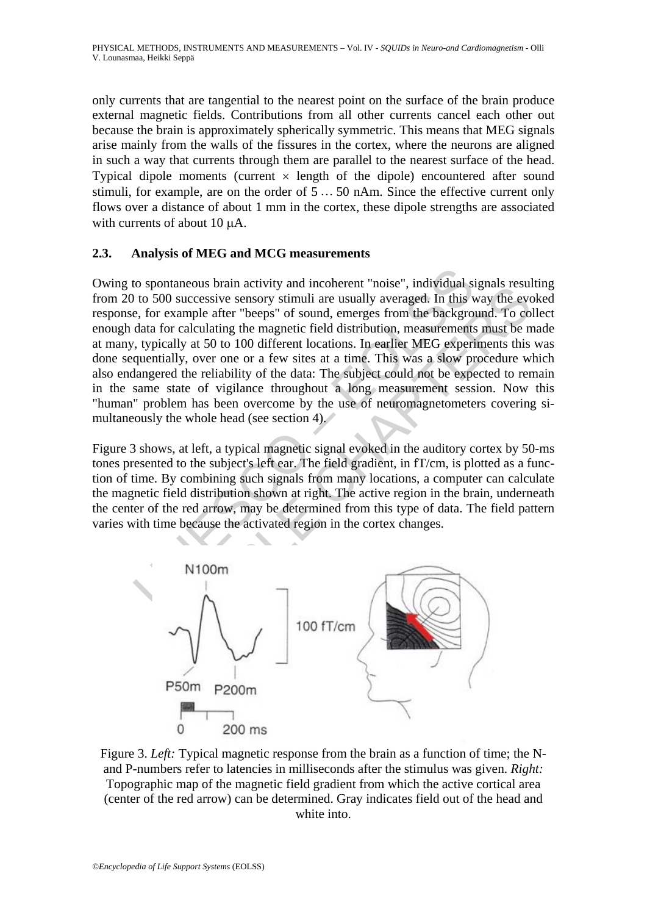only currents that are tangential to the nearest point on the surface of the brain produce external magnetic fields. Contributions from all other currents cancel each other out because the brain is approximately spherically symmetric. This means that MEG signals arise mainly from the walls of the fissures in the cortex, where the neurons are aligned in such a way that currents through them are parallel to the nearest surface of the head. Typical dipole moments (current  $\times$  length of the dipole) encountered after sound stimuli, for example, are on the order of 5 … 50 nAm. Since the effective current only flows over a distance of about 1 mm in the cortex, these dipole strengths are associated with currents of about 10 μA.

### **2.3. Analysis of MEG and MCG measurements**

to spontaneous brain activity and incoherent "noise", individual si<br>to 500 successive sensory stimuli are usually averaged. In this ve, for example after "beeps" of sound, emerges from the backgro<br>data for calculating the ponductions between the molecular three in the content in the content in the content in the set in the content in the set of calculating the magnetic field distribution, measurements must be not a for calculating the magne Owing to spontaneous brain activity and incoherent "noise", individual signals resulting from 20 to 500 successive sensory stimuli are usually averaged. In this way the evoked response, for example after "beeps" of sound, emerges from the background. To collect enough data for calculating the magnetic field distribution, measurements must be made at many, typically at 50 to 100 different locations. In earlier MEG experiments this was done sequentially, over one or a few sites at a time. This was a slow procedure which also endangered the reliability of the data: The subject could not be expected to remain in the same state of vigilance throughout a long measurement session. Now this "human" problem has been overcome by the use of neuromagnetometers covering simultaneously the whole head (see section 4).

Figure 3 shows, at left, a typical magnetic signal evoked in the auditory cortex by 50-ms tones presented to the subject's left ear. The field gradient, in fT/cm, is plotted as a function of time. By combining such signals from many locations, a computer can calculate the magnetic field distribution shown at right. The active region in the brain, underneath the center of the red arrow, may be determined from this type of data. The field pattern varies with time because the activated region in the cortex changes.



Figure 3. *Left:* Typical magnetic response from the brain as a function of time; the Nand P-numbers refer to latencies in milliseconds after the stimulus was given. *Right:* Topographic map of the magnetic field gradient from which the active cortical area (center of the red arrow) can be determined. Gray indicates field out of the head and white into.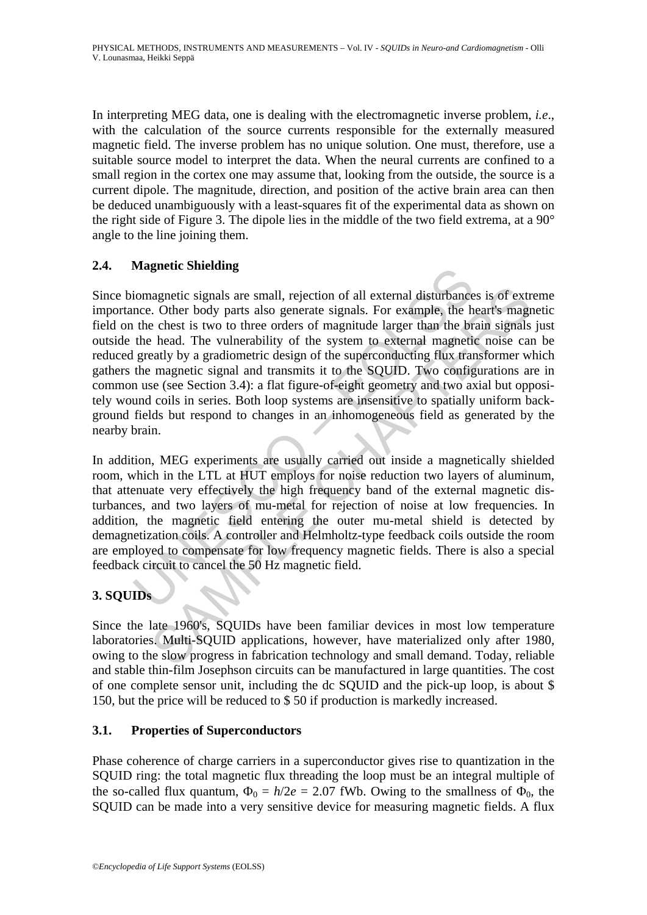In interpreting MEG data, one is dealing with the electromagnetic inverse problem, *i.e*., with the calculation of the source currents responsible for the externally measured magnetic field. The inverse problem has no unique solution. One must, therefore, use a suitable source model to interpret the data. When the neural currents are confined to a small region in the cortex one may assume that, looking from the outside, the source is a current dipole. The magnitude, direction, and position of the active brain area can then be deduced unambiguously with a least-squares fit of the experimental data as shown on the right side of Figure 3. The dipole lies in the middle of the two field extrema, at a 90° angle to the line joining them.

## **2.4. Magnetic Shielding**

**Example 12**<br>
iomagnetic signals are small, rejection of all external disturbance<br>
nee. Other body parts also generate signals. For example, the h<br>
the chest is two to three orders of magnitude larger than the br<br>
the hea magnetic signals are small, rejection of all external disturbances is of extra. Other body parts also generate signals. For example, the heart's magnetic echest is two to there orders of magnitule larger than the brain sig Since biomagnetic signals are small, rejection of all external disturbances is of extreme importance. Other body parts also generate signals. For example, the heart's magnetic field on the chest is two to three orders of magnitude larger than the brain signals just outside the head. The vulnerability of the system to external magnetic noise can be reduced greatly by a gradiometric design of the superconducting flux transformer which gathers the magnetic signal and transmits it to the SQUID. Two configurations are in common use (see Section 3.4): a flat figure-of-eight geometry and two axial but oppositely wound coils in series. Both loop systems are insensitive to spatially uniform background fields but respond to changes in an inhomogeneous field as generated by the nearby brain.

In addition, MEG experiments are usually carried out inside a magnetically shielded room, which in the LTL at HUT employs for noise reduction two layers of aluminum, that attenuate very effectively the high frequency band of the external magnetic disturbances, and two layers of mu-metal for rejection of noise at low frequencies. In addition, the magnetic field entering the outer mu-metal shield is detected by demagnetization coils. A controller and Helmholtz-type feedback coils outside the room are employed to compensate for low frequency magnetic fields. There is also a special feedback circuit to cancel the 50 Hz magnetic field.

## **3. SQUIDs**

Since the late 1960's, SQUIDs have been familiar devices in most low temperature laboratories. Multi-SQUID applications, however, have materialized only after 1980, owing to the slow progress in fabrication technology and small demand. Today, reliable and stable thin-film Josephson circuits can be manufactured in large quantities. The cost of one complete sensor unit, including the dc SQUID and the pick-up loop, is about \$ 150, but the price will be reduced to \$ 50 if production is markedly increased.

## **3.1. Properties of Superconductors**

Phase coherence of charge carriers in a superconductor gives rise to quantization in the SQUID ring: the total magnetic flux threading the loop must be an integral multiple of the so-called flux quantum,  $\Phi_0 = h/2e = 2.07$  fWb. Owing to the smallness of  $\Phi_0$ , the SQUID can be made into a very sensitive device for measuring magnetic fields. A flux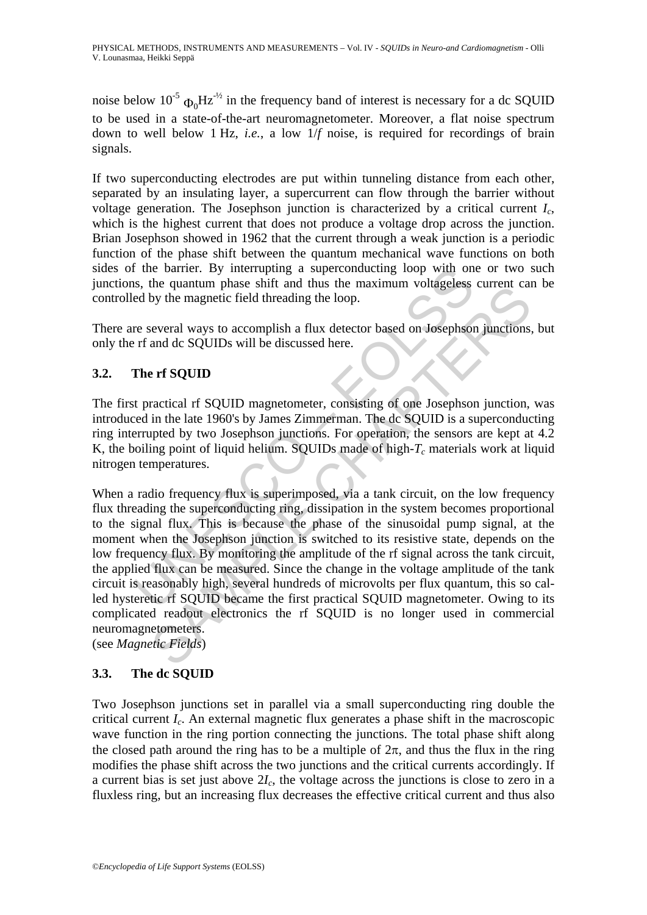noise below  $10^{-5} \Phi_0 Hz^{-1/2}$  in the frequency band of interest is necessary for a dc SQUID to be used in a state-of-the-art neuromagnetometer. Moreover, a flat noise spectrum down to well below 1 Hz, *i.e.*, a low 1/*f* noise, is required for recordings of brain signals.

If two superconducting electrodes are put within tunneling distance from each other, separated by an insulating layer, a supercurrent can flow through the barrier without voltage generation. The Josephson junction is characterized by a critical current *Ic*, which is the highest current that does not produce a voltage drop across the junction. Brian Josephson showed in 1962 that the current through a weak junction is a periodic function of the phase shift between the quantum mechanical wave functions on both sides of the barrier. By interrupting a superconducting loop with one or two such junctions, the quantum phase shift and thus the maximum voltageless current can be controlled by the magnetic field threading the loop.

There are several ways to accomplish a flux detector based on Josephson junctions, but only the rf and dc SQUIDs will be discussed here.

## **3.2. The rf SQUID**

The first practical rf SQUID magnetometer, consisting of one Josephson junction, was introduced in the late 1960's by James Zimmerman. The dc SQUID is a superconducting ring interrupted by two Josephson junctions. For operation, the sensors are kept at 4.2 K, the boiling point of liquid helium. SQUIDs made of high- $T_c$  materials work at liquid nitrogen temperatures.

If the barrier. By interrupting a superconducting loop with on<br>s, the quantum phase shift and thus the maximum voltageless<br>ed by the magnetic field threading the loop.<br>The reseveral ways to accomplish a flux detector base The qualitary phase similar and units the maximum vonages current can<br>by the magnetic field threading the loop.<br>everal ways to accomplish a flux detector based on Josephson junctions,<br>and dc SQUIDs will be discussed here.<br> When a radio frequency flux is superimposed, via a tank circuit, on the low frequency flux threading the superconducting ring, dissipation in the system becomes proportional to the signal flux. This is because the phase of the sinusoidal pump signal, at the moment when the Josephson junction is switched to its resistive state, depends on the low frequency flux. By monitoring the amplitude of the rf signal across the tank circuit, the applied flux can be measured. Since the change in the voltage amplitude of the tank circuit is reasonably high, several hundreds of microvolts per flux quantum, this so called hysteretic rf SQUID became the first practical SQUID magnetometer. Owing to its complicated readout electronics the rf SQUID is no longer used in commercial neuromagnetometers.

(see *Magnetic Fields*)

## **3.3. The dc SQUID**

Two Josephson junctions set in parallel via a small superconducting ring double the critical current *Ic*. An external magnetic flux generates a phase shift in the macroscopic wave function in the ring portion connecting the junctions. The total phase shift along the closed path around the ring has to be a multiple of  $2\pi$ , and thus the flux in the ring modifies the phase shift across the two junctions and the critical currents accordingly. If a current bias is set just above  $2I_c$ , the voltage across the junctions is close to zero in a fluxless ring, but an increasing flux decreases the effective critical current and thus also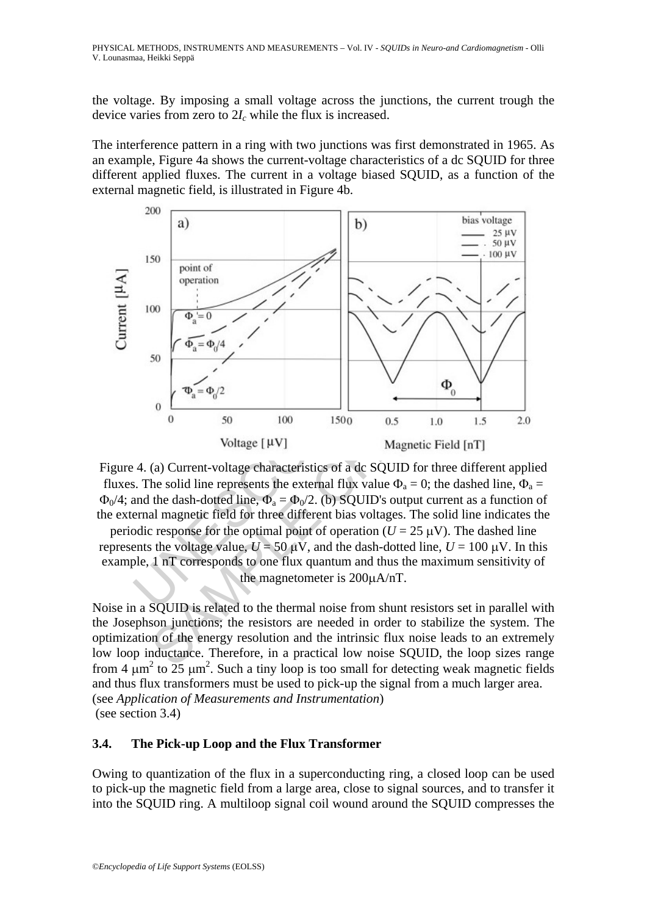the voltage. By imposing a small voltage across the junctions, the current trough the device varies from zero to  $2I_c$  while the flux is increased.

The interference pattern in a ring with two junctions was first demonstrated in 1965. As an example, Figure 4a shows the current-voltage characteristics of a dc SQUID for three different applied fluxes. The current in a voltage biased SQUID, as a function of the external magnetic field, is illustrated in Figure 4b.





periodic response for the optimal point of operation ( $U = 25 \mu V$ ). The dashed line represents the voltage value,  $U = 50 \mu V$ , and the dash-dotted line,  $U = 100 \mu V$ . In this example, 1 nT corresponds to one flux quantum and thus the maximum sensitivity of the magnetometer is 200μA/nT.

Noise in a SQUID is related to the thermal noise from shunt resistors set in parallel with the Josephson junctions; the resistors are needed in order to stabilize the system. The optimization of the energy resolution and the intrinsic flux noise leads to an extremely low loop inductance. Therefore, in a practical low noise SQUID, the loop sizes range from 4  $\mu$ m<sup>2</sup> to 25  $\mu$ m<sup>2</sup>. Such a tiny loop is too small for detecting weak magnetic fields and thus flux transformers must be used to pick-up the signal from a much larger area. (see *Application of Measurements and Instrumentation*) (see section 3.4)

### **3.4. The Pick-up Loop and the Flux Transformer**

Owing to quantization of the flux in a superconducting ring, a closed loop can be used to pick-up the magnetic field from a large area, close to signal sources, and to transfer it into the SQUID ring. A multiloop signal coil wound around the SQUID compresses the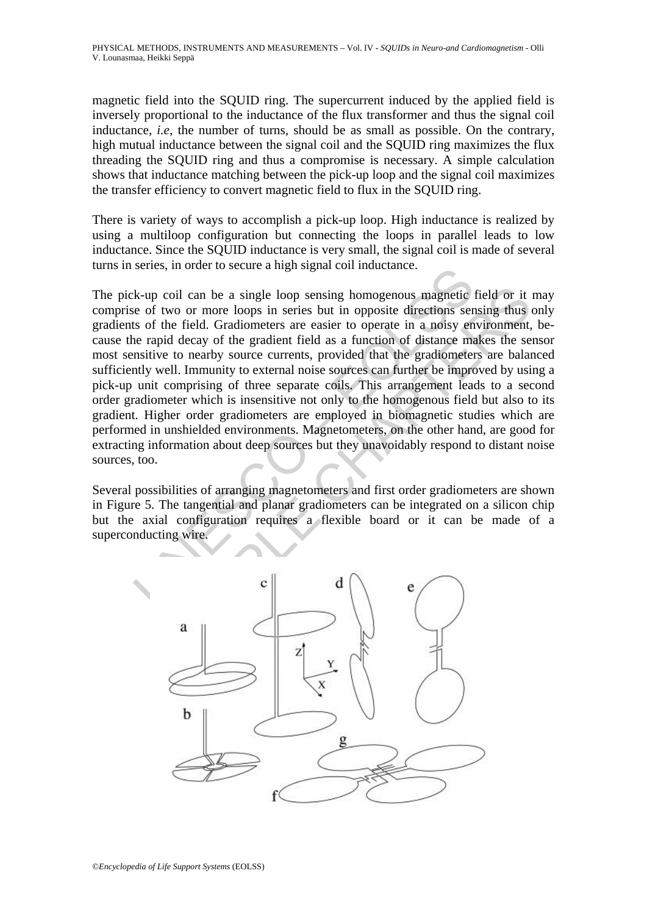magnetic field into the SQUID ring. The supercurrent induced by the applied field is inversely proportional to the inductance of the flux transformer and thus the signal coil inductance, *i.e*, the number of turns, should be as small as possible. On the contrary, high mutual inductance between the signal coil and the SQUID ring maximizes the flux threading the SQUID ring and thus a compromise is necessary. A simple calculation shows that inductance matching between the pick-up loop and the signal coil maximizes the transfer efficiency to convert magnetic field to flux in the SQUID ring.

There is variety of ways to accomplish a pick-up loop. High inductance is realized by using a multiloop configuration but connecting the loops in parallel leads to low inductance. Since the SQUID inductance is very small, the signal coil is made of several turns in series, in order to secure a high signal coil inductance.

series, in otiet to secure a mgin signal con inductance.<br>
K-up coil can be a single loop sensing homogenous magnetic is of the field. Gradiometers are easier to operate in a noisy en<br>
the rapid decay of the gradient field in the metal and planar gradiometers are easier to the field of the field of the field. Gradiometers are easier to operate in a noisy environment, and the straight decay of the gradient field as a function of distance make The pick-up coil can be a single loop sensing homogenous magnetic field or it may comprise of two or more loops in series but in opposite directions sensing thus only gradients of the field. Gradiometers are easier to operate in a noisy environment, because the rapid decay of the gradient field as a function of distance makes the sensor most sensitive to nearby source currents, provided that the gradiometers are balanced sufficiently well. Immunity to external noise sources can further be improved by using a pick-up unit comprising of three separate coils. This arrangement leads to a second order gradiometer which is insensitive not only to the homogenous field but also to its gradient. Higher order gradiometers are employed in biomagnetic studies which are performed in unshielded environments. Magnetometers, on the other hand, are good for extracting information about deep sources but they unavoidably respond to distant noise sources, too.

Several possibilities of arranging magnetometers and first order gradiometers are shown in Figure 5. The tangential and planar gradiometers can be integrated on a silicon chip but the axial configuration requires a flexible board or it can be made of a superconducting wire.

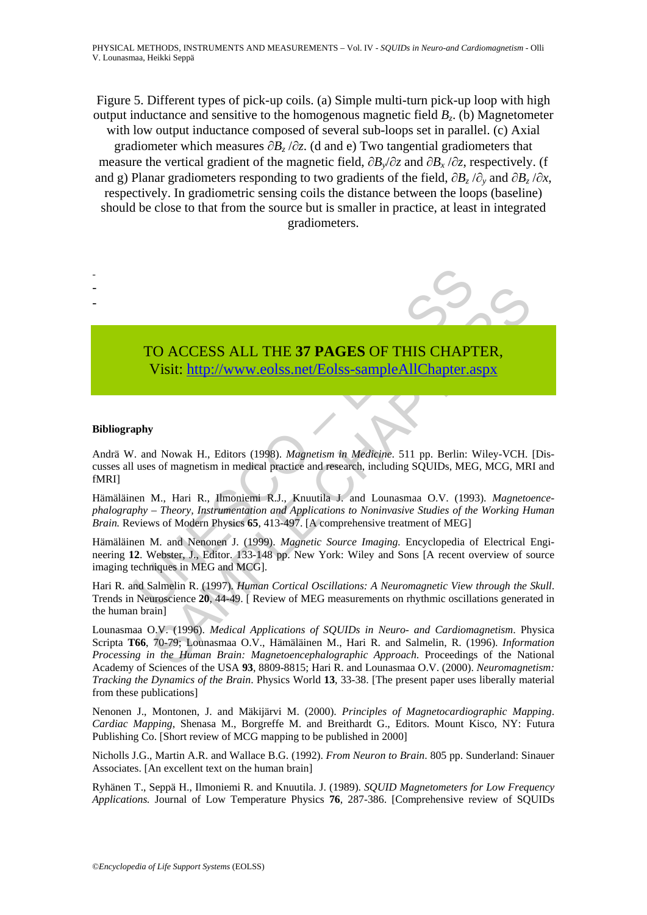Figure 5. Different types of pick-up coils. (a) Simple multi-turn pick-up loop with high output inductance and sensitive to the homogenous magnetic field *Bz*. (b) Magnetometer with low output inductance composed of several sub-loops set in parallel. (c) Axial gradiometer which measures  $\partial B_z / \partial z$ . (d and e) Two tangential gradiometers that measure the vertical gradient of the magnetic field, ∂*By*/∂*z* and ∂*Bx* /∂*z*, respectively. (f and g) Planar gradiometers responding to two gradients of the field, ∂*Bz* /∂*<sup>y</sup>* and ∂*Bz* /∂*x*, respectively. In gradiometric sensing coils the distance between the loops (baseline) should be close to that from the source but is smaller in practice, at least in integrated gradiometers.



## TO ACCESS ALL THE **37 PAGES** OF THIS CHAPTER, Visit: http://www.eolss.net/Eolss-sampleAllChapter.aspx

#### **Bibliography**

- - -

Andrä W. and Nowak H., Editors (1998). *Magnetism in Medicine*. 511 pp. Berlin: Wiley-VCH. [Discusses all uses of magnetism in medical practice and research, including SQUIDs, MEG, MCG, MRI and fMRI]

TO ACCESS ALL THE 37 PAGES OF THIS CHAPT<br>Visit: http://www.eolss.net/Eolss-sampleAllChapter.a<br>phy<br>aphy<br>and Nowak H., Editors (1998). *Magnetism in Medicine*. 511 pp. Berlin: N<br>uses of magnetism in medical practice and rese Hämäläinen M., Hari R., Ilmoniemi R.J., Knuutila J. and Lounasmaa O.V. (1993). *Magnetoencephalography – Theory, Instrumentation and Applications to Noninvasive Studies of the Working Human Brain.* Reviews of Modern Physics **65**, 413-497. [A comprehensive treatment of MEG]

Hämäläinen M. and Nenonen J. (1999). *Magnetic Source Imaging.* Encyclopedia of Electrical Engineering **12**. Webster, J., Editor. 133-148 pp. New York: Wiley and Sons [A recent overview of source imaging techniques in MEG and MCG].

Hari R. and Salmelin R. (1997). *Human Cortical Oscillations: A Neuromagnetic View through the Skull*. Trends in Neuroscience **20**, 44-49. [ Review of MEG measurements on rhythmic oscillations generated in the human brain]

CO ACCESS ALL THE 37 PAGES OF THIS CHAP[TE](https://www.eolss.net/ebooklib/sc_cart.aspx?File=E6-08-05-02)R,<br>
Visit: http://www.eolss.net/Eolss-sampleAllChapter.aspx<br>
Solution (1998). *Magnetism in Medicine*. 511 pp. Berlin: Wiley-VCH.<br>
Solution is magnetism in medical pactice and resea Lounasmaa O.V. (1996). *Medical Applications of SQUIDs in Neuro- and Cardiomagnetism*. Physica Scripta **T66**, 70-79; Lounasmaa O.V., Hämäläinen M., Hari R. and Salmelin, R. (1996). *Information Processing in the Human Brain: Magnetoencephalographic Approach*. Proceedings of the National Academy of Sciences of the USA **93**, 8809-8815; Hari R. and Lounasmaa O.V. (2000). *Neuromagnetism: Tracking the Dynamics of the Brain*. Physics World **13**, 33-38. [The present paper uses liberally material from these publications]

Nenonen J., Montonen, J. and Mäkijärvi M. (2000). *Principles of Magnetocardiographic Mapping*. *Cardiac Mapping*, Shenasa M., Borgreffe M. and Breithardt G., Editors. Mount Kisco, NY: Futura Publishing Co. [Short review of MCG mapping to be published in 2000]

Nicholls J.G., Martin A.R. and Wallace B.G. (1992). *From Neuron to Brain*. 805 pp. Sunderland: Sinauer Associates. [An excellent text on the human brain]

Ryhänen T., Seppä H., Ilmoniemi R. and Knuutila. J. (1989). *SQUID Magnetometers for Low Frequency Applications.* Journal of Low Temperature Physics **76**, 287-386. [Comprehensive review of SQUIDs